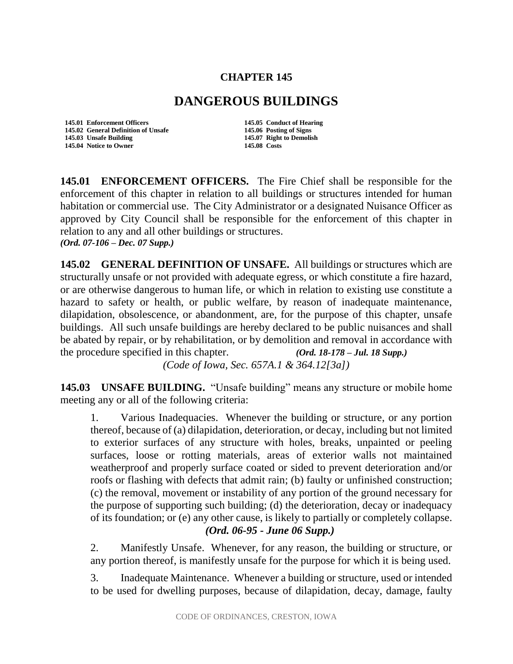## **CHAPTER 145**

## **DANGEROUS BUILDINGS**

**145.01 Enforcement Officers 145.05 Conduct of Hearing 145.02 General Definition of Unsafe 145.06 Posting of Signs 145.04 Notice to Owner 145.08 Costs**

145.07 Right to Demolish

**145.01 ENFORCEMENT OFFICERS.** The Fire Chief shall be responsible for the enforcement of this chapter in relation to all buildings or structures intended for human habitation or commercial use. The City Administrator or a designated Nuisance Officer as approved by City Council shall be responsible for the enforcement of this chapter in relation to any and all other buildings or structures. *(Ord. 07-106 – Dec. 07 Supp.)*

**145.02 GENERAL DEFINITION OF UNSAFE.** All buildings or structures which are structurally unsafe or not provided with adequate egress, or which constitute a fire hazard, or are otherwise dangerous to human life, or which in relation to existing use constitute a hazard to safety or health, or public welfare, by reason of inadequate maintenance, dilapidation, obsolescence, or abandonment, are, for the purpose of this chapter, unsafe buildings. All such unsafe buildings are hereby declared to be public nuisances and shall be abated by repair, or by rehabilitation, or by demolition and removal in accordance with the procedure specified in this chapter. *(Ord. 18-178 – Jul. 18 Supp.) (Code of Iowa, Sec. 657A.1 & 364.12[3a])* 

**145.03 UNSAFE BUILDING.** "Unsafe building" means any structure or mobile home meeting any or all of the following criteria:

1. Various Inadequacies. Whenever the building or structure, or any portion thereof, because of (a) dilapidation, deterioration, or decay, including but not limited to exterior surfaces of any structure with holes, breaks, unpainted or peeling surfaces, loose or rotting materials, areas of exterior walls not maintained weatherproof and properly surface coated or sided to prevent deterioration and/or roofs or flashing with defects that admit rain; (b) faulty or unfinished construction; (c) the removal, movement or instability of any portion of the ground necessary for the purpose of supporting such building; (d) the deterioration, decay or inadequacy of its foundation; or (e) any other cause, is likely to partially or completely collapse. *(Ord. 06-95 - June 06 Supp.)*

2. Manifestly Unsafe. Whenever, for any reason, the building or structure, or any portion thereof, is manifestly unsafe for the purpose for which it is being used.

3. Inadequate Maintenance. Whenever a building or structure, used or intended to be used for dwelling purposes, because of dilapidation, decay, damage, faulty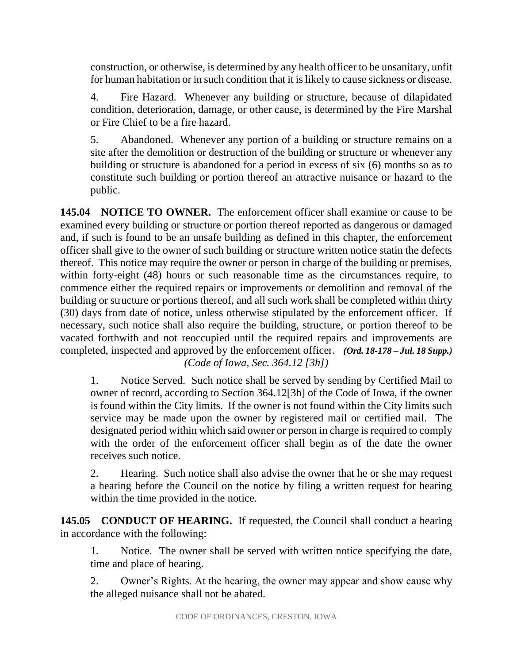construction, or otherwise, is determined by any health officer to be unsanitary, unfit for human habitation or in such condition that it is likely to cause sickness or disease.

4. Fire Hazard. Whenever any building or structure, because of dilapidated condition, deterioration, damage, or other cause, is determined by the Fire Marshal or Fire Chief to be a fire hazard.

5. Abandoned. Whenever any portion of a building or structure remains on a site after the demolition or destruction of the building or structure or whenever any building or structure is abandoned for a period in excess of six (6) months so as to constitute such building or portion thereof an attractive nuisance or hazard to the public.

**145.04 NOTICE TO OWNER.** The enforcement officer shall examine or cause to be examined every building or structure or portion thereof reported as dangerous or damaged and, if such is found to be an unsafe building as defined in this chapter, the enforcement officer shall give to the owner of such building or structure written notice statin the defects thereof. This notice may require the owner or person in charge of the building or premises, within forty-eight (48) hours or such reasonable time as the circumstances require, to commence either the required repairs or improvements or demolition and removal of the building or structure or portions thereof, and all such work shall be completed within thirty (30) days from date of notice, unless otherwise stipulated by the enforcement officer. If necessary, such notice shall also require the building, structure, or portion thereof to be vacated forthwith and not reoccupied until the required repairs and improvements are completed, inspected and approved by the enforcement officer. *(Ord. 18-178 – Jul. 18 Supp.) (Code of Iowa, Sec. 364.12 [3h])* 

1. Notice Served. Such notice shall be served by sending by Certified Mail to owner of record, according to Section 364.12[3h] of the Code of Iowa, if the owner is found within the City limits. If the owner is not found within the City limits such service may be made upon the owner by registered mail or certified mail. The designated period within which said owner or person in charge is required to comply with the order of the enforcement officer shall begin as of the date the owner receives such notice.

2. Hearing. Such notice shall also advise the owner that he or she may request a hearing before the Council on the notice by filing a written request for hearing within the time provided in the notice.

**145.05 CONDUCT OF HEARING.** If requested, the Council shall conduct a hearing in accordance with the following:

1. Notice. The owner shall be served with written notice specifying the date, time and place of hearing.

2. Owner's Rights. At the hearing, the owner may appear and show cause why the alleged nuisance shall not be abated.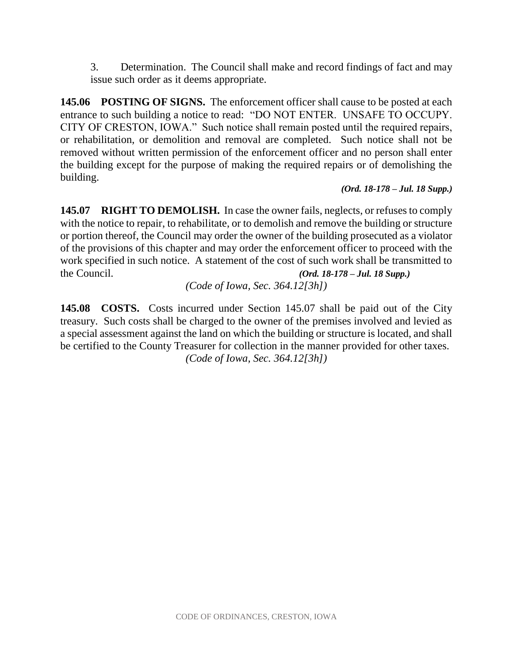3. Determination. The Council shall make and record findings of fact and may issue such order as it deems appropriate.

**145.06 POSTING OF SIGNS.** The enforcement officer shall cause to be posted at each entrance to such building a notice to read: "DO NOT ENTER. UNSAFE TO OCCUPY. CITY OF CRESTON, IOWA." Such notice shall remain posted until the required repairs, or rehabilitation, or demolition and removal are completed. Such notice shall not be removed without written permission of the enforcement officer and no person shall enter the building except for the purpose of making the required repairs or of demolishing the building.

*(Ord. 18-178 – Jul. 18 Supp.)*

**145.07 RIGHT TO DEMOLISH.** In case the owner fails, neglects, or refuses to comply with the notice to repair, to rehabilitate, or to demolish and remove the building or structure or portion thereof, the Council may order the owner of the building prosecuted as a violator of the provisions of this chapter and may order the enforcement officer to proceed with the work specified in such notice. A statement of the cost of such work shall be transmitted to the Council. *(Ord. 18-178 – Jul. 18 Supp.)*

*(Code of Iowa, Sec. 364.12[3h])*

**145.08 COSTS.** Costs incurred under Section 145.07 shall be paid out of the City treasury. Such costs shall be charged to the owner of the premises involved and levied as a special assessment against the land on which the building or structure is located, and shall be certified to the County Treasurer for collection in the manner provided for other taxes. *(Code of Iowa, Sec. 364.12[3h])*